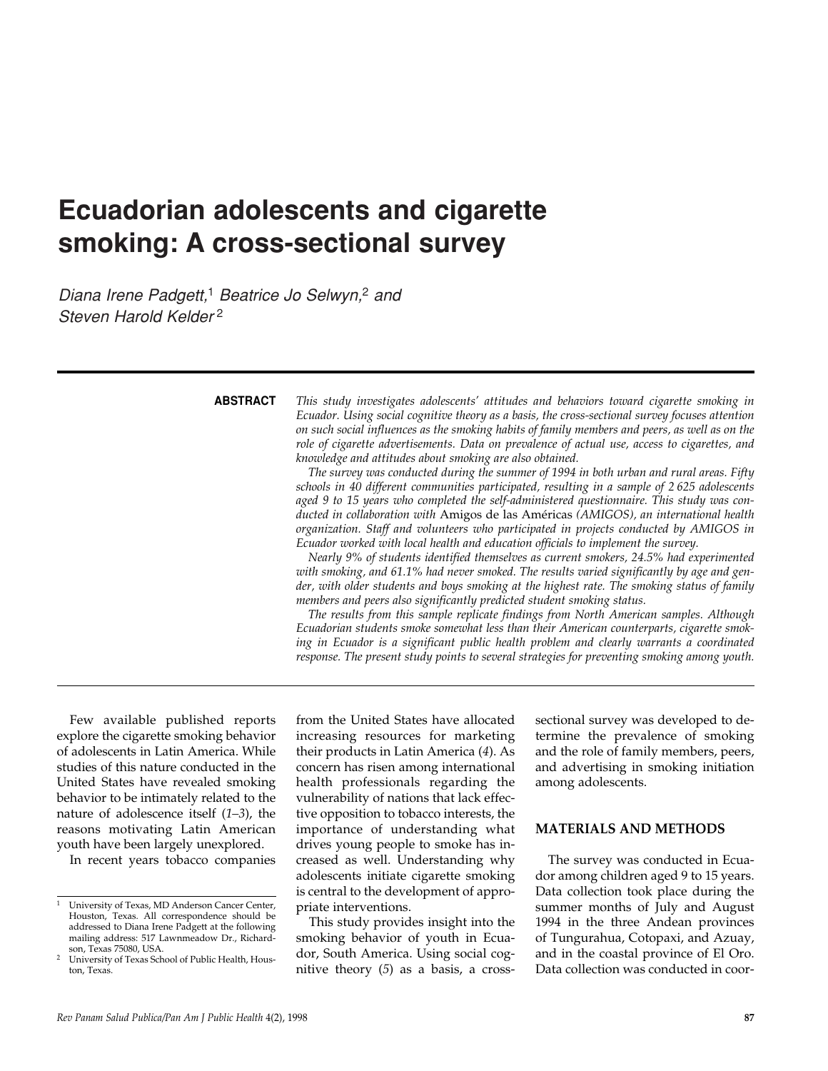# **Ecuadorian adolescents and cigarette smoking: A cross-sectional survey**

*Diana Irene Padgett,*<sup>1</sup> *Beatrice Jo Selwyn,*<sup>2</sup> *and Steven Harold Kelder* <sup>2</sup>

**ABSTRACT**

*This study investigates adolescents' attitudes and behaviors toward cigarette smoking in Ecuador. Using social cognitive theory as a basis, the cross-sectional survey focuses attention on such social influences as the smoking habits of family members and peers, as well as on the role of cigarette advertisements. Data on prevalence of actual use, access to cigarettes, and knowledge and attitudes about smoking are also obtained.*

*The survey was conducted during the summer of 1994 in both urban and rural areas. Fifty schools in 40 different communities participated, resulting in a sample of 2 625 adolescents aged 9 to 15 years who completed the self-administered questionnaire. This study was conducted in collaboration with* Amigos de las Américas *(AMIGOS), an international health organization. Staff and volunteers who participated in projects conducted by AMIGOS in Ecuador worked with local health and education officials to implement the survey.*

*Nearly 9% of students identified themselves as current smokers, 24.5% had experimented with smoking, and 61.1% had never smoked. The results varied significantly by age and gender, with older students and boys smoking at the highest rate. The smoking status of family members and peers also significantly predicted student smoking status.*

*The results from this sample replicate findings from North American samples. Although Ecuadorian students smoke somewhat less than their American counterparts, cigarette smoking in Ecuador is a significant public health problem and clearly warrants a coordinated response. The present study points to several strategies for preventing smoking among youth.*

Few available published reports explore the cigarette smoking behavior of adolescents in Latin America. While studies of this nature conducted in the United States have revealed smoking behavior to be intimately related to the nature of adolescence itself (*1–3*), the reasons motivating Latin American youth have been largely unexplored.

In recent years tobacco companies

from the United States have allocated increasing resources for marketing their products in Latin America (*4*). As concern has risen among international health professionals regarding the vulnerability of nations that lack effective opposition to tobacco interests, the importance of understanding what drives young people to smoke has increased as well. Understanding why adolescents initiate cigarette smoking is central to the development of appropriate interventions.

This study provides insight into the smoking behavior of youth in Ecuador, South America. Using social cognitive theory (*5*) as a basis, a crosssectional survey was developed to determine the prevalence of smoking and the role of family members, peers, and advertising in smoking initiation among adolescents.

#### **MATERIALS AND METHODS**

The survey was conducted in Ecuador among children aged 9 to 15 years. Data collection took place during the summer months of July and August 1994 in the three Andean provinces of Tungurahua, Cotopaxi, and Azuay, and in the coastal province of El Oro. Data collection was conducted in coor-

University of Texas, MD Anderson Cancer Center, Houston, Texas. All correspondence should be addressed to Diana Irene Padgett at the following mailing address: 517 Lawnmeadow Dr., Richardson, Texas 75080, USA.

<sup>2</sup> University of Texas School of Public Health, Houston, Texas.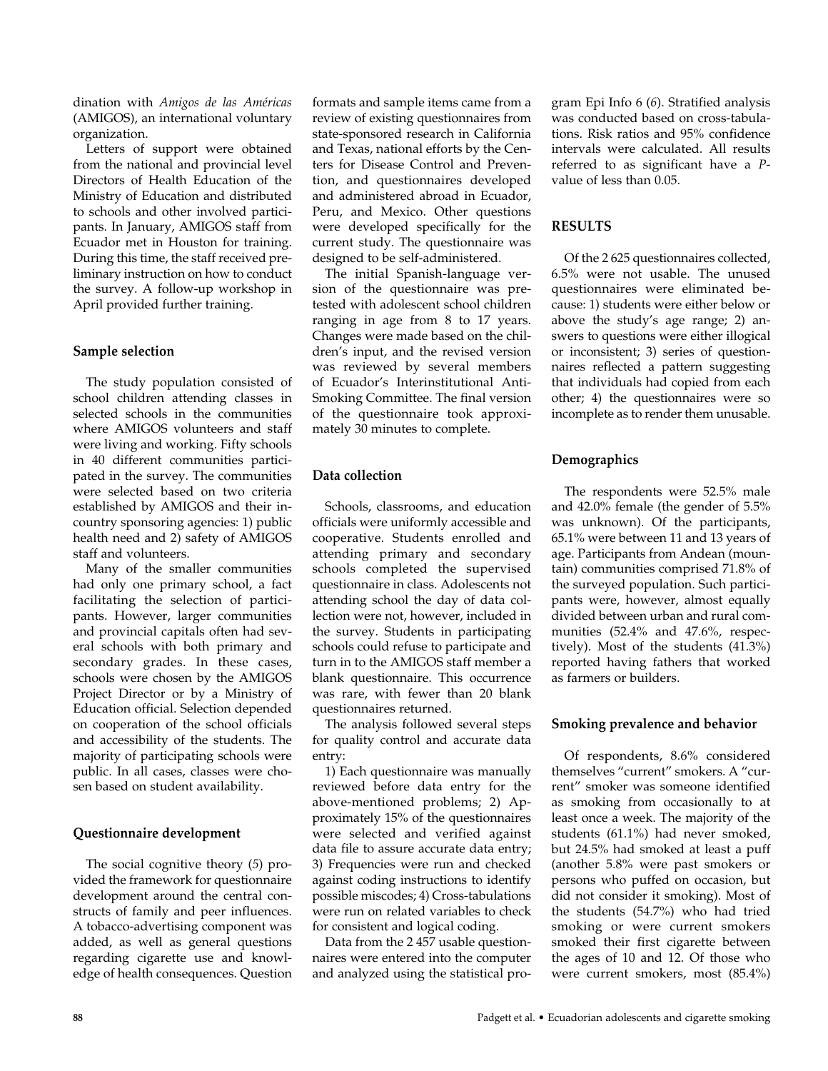dination with *Amigos de las Américas* (AMIGOS), an international voluntary organization.

Letters of support were obtained from the national and provincial level Directors of Health Education of the Ministry of Education and distributed to schools and other involved participants. In January, AMIGOS staff from Ecuador met in Houston for training. During this time, the staff received preliminary instruction on how to conduct the survey. A follow-up workshop in April provided further training.

#### **Sample selection**

The study population consisted of school children attending classes in selected schools in the communities where AMIGOS volunteers and staff were living and working. Fifty schools in 40 different communities participated in the survey. The communities were selected based on two criteria established by AMIGOS and their incountry sponsoring agencies: 1) public health need and 2) safety of AMIGOS staff and volunteers.

Many of the smaller communities had only one primary school, a fact facilitating the selection of participants. However, larger communities and provincial capitals often had several schools with both primary and secondary grades. In these cases, schools were chosen by the AMIGOS Project Director or by a Ministry of Education official. Selection depended on cooperation of the school officials and accessibility of the students. The majority of participating schools were public. In all cases, classes were chosen based on student availability.

## **Questionnaire development**

The social cognitive theory (*5*) provided the framework for questionnaire development around the central constructs of family and peer influences. A tobacco-advertising component was added, as well as general questions regarding cigarette use and knowledge of health consequences. Question

formats and sample items came from a review of existing questionnaires from state-sponsored research in California and Texas, national efforts by the Centers for Disease Control and Prevention, and questionnaires developed and administered abroad in Ecuador, Peru, and Mexico. Other questions were developed specifically for the current study. The questionnaire was designed to be self-administered.

The initial Spanish-language version of the questionnaire was pretested with adolescent school children ranging in age from 8 to 17 years. Changes were made based on the children's input, and the revised version was reviewed by several members of Ecuador's Interinstitutional Anti-Smoking Committee. The final version of the questionnaire took approximately 30 minutes to complete.

## **Data collection**

Schools, classrooms, and education officials were uniformly accessible and cooperative. Students enrolled and attending primary and secondary schools completed the supervised questionnaire in class. Adolescents not attending school the day of data collection were not, however, included in the survey. Students in participating schools could refuse to participate and turn in to the AMIGOS staff member a blank questionnaire. This occurrence was rare, with fewer than 20 blank questionnaires returned.

The analysis followed several steps for quality control and accurate data entry:

1) Each questionnaire was manually reviewed before data entry for the above-mentioned problems; 2) Approximately 15% of the questionnaires were selected and verified against data file to assure accurate data entry; 3) Frequencies were run and checked against coding instructions to identify possible miscodes; 4) Cross-tabulations were run on related variables to check for consistent and logical coding.

Data from the 2 457 usable questionnaires were entered into the computer and analyzed using the statistical program Epi Info 6 (*6*). Stratified analysis was conducted based on cross-tabulations. Risk ratios and 95% confidence intervals were calculated. All results referred to as significant have a *P*value of less than 0.05.

#### **RESULTS**

Of the 2 625 questionnaires collected, 6.5% were not usable. The unused questionnaires were eliminated because: 1) students were either below or above the study's age range; 2) answers to questions were either illogical or inconsistent; 3) series of questionnaires reflected a pattern suggesting that individuals had copied from each other; 4) the questionnaires were so incomplete as to render them unusable.

## **Demographics**

The respondents were 52.5% male and 42.0% female (the gender of 5.5% was unknown). Of the participants, 65.1% were between 11 and 13 years of age. Participants from Andean (mountain) communities comprised 71.8% of the surveyed population. Such participants were, however, almost equally divided between urban and rural communities (52.4% and 47.6%, respectively). Most of the students (41.3%) reported having fathers that worked as farmers or builders.

## **Smoking prevalence and behavior**

Of respondents, 8.6% considered themselves "current" smokers. A "current" smoker was someone identified as smoking from occasionally to at least once a week. The majority of the students (61.1%) had never smoked, but 24.5% had smoked at least a puff (another 5.8% were past smokers or persons who puffed on occasion, but did not consider it smoking). Most of the students (54.7%) who had tried smoking or were current smokers smoked their first cigarette between the ages of 10 and 12. Of those who were current smokers, most (85.4%)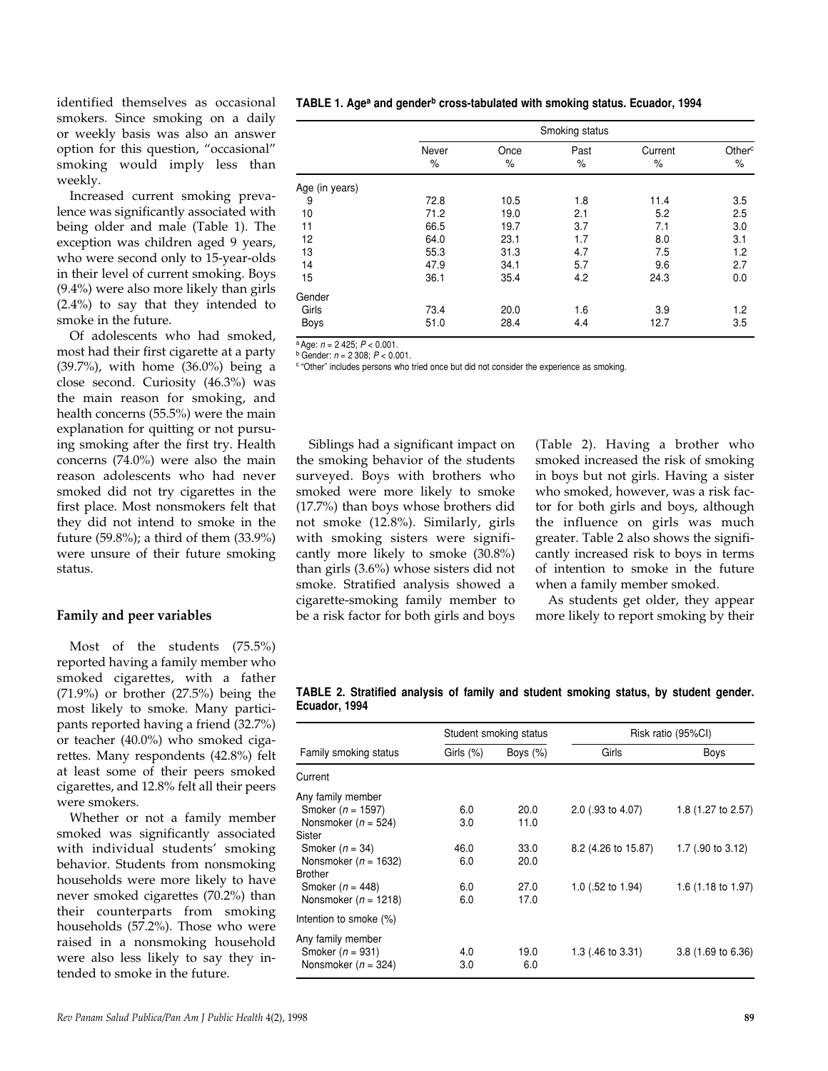identified themselves as occasional smokers. Since smoking on a daily or weekly basis was also an answer option for this question, "occasional" smoking would imply less than weekly.

Increased current smoking prevalence was significantly associated with being older and male (Table 1). The exception was children aged 9 years, who were second only to 15-year-olds in their level of current smoking. Boys (9.4%) were also more likely than girls (2.4%) to say that they intended to smoke in the future.

Of adolescents who had smoked, most had their first cigarette at a party (39.7%), with home (36.0%) being a close second. Curiosity (46.3%) was the main reason for smoking, and health concerns (55.5%) were the main explanation for quitting or not pursuing smoking after the first try. Health concerns (74.0%) were also the main reason adolescents who had never smoked did not try cigarettes in the first place. Most nonsmokers felt that they did not intend to smoke in the future (59.8%); a third of them (33.9%) were unsure of their future smoking status.

#### **Family and peer variables**

Most of the students (75.5%) reported having a family member who smoked cigarettes, with a father  $(71.9\%)$  or brother  $(27.5\%)$  being the most likely to smoke. Many participants reported having a friend (32.7%) or teacher (40.0%) who smoked cigarettes. Many respondents (42.8%) felt at least some of their peers smoked cigarettes, and 12.8% felt all their peers were smokers.

Whether or not a family member smoked was significantly associated with individual students' smoking behavior. Students from nonsmoking households were more likely to have never smoked cigarettes (70.2%) than their counterparts from smoking households (57.2%). Those who were raised in a nonsmoking household were also less likely to say they intended to smoke in the future.

| TABLE 1. Age <sup>a</sup> and gender <sup>b</sup> cross-tabulated with smoking status. Ecuador, 1994 |  |  |  |  |  |  |
|------------------------------------------------------------------------------------------------------|--|--|--|--|--|--|
|------------------------------------------------------------------------------------------------------|--|--|--|--|--|--|

|                | Smoking status |           |              |                 |                            |  |  |
|----------------|----------------|-----------|--------------|-----------------|----------------------------|--|--|
|                | Never<br>$\%$  | Once<br>% | Past<br>$\%$ | Current<br>$\%$ | Other <sup>c</sup><br>$\%$ |  |  |
| Age (in years) |                |           |              |                 |                            |  |  |
| 9              | 72.8           | 10.5      | 1.8          | 11.4            | 3.5                        |  |  |
| 10             | 71.2           | 19.0      | 2.1          | 5.2             | 2.5                        |  |  |
| 11             | 66.5           | 19.7      | 3.7          | 7.1             | 3.0                        |  |  |
| 12             | 64.0           | 23.1      | 1.7          | 8.0             | 3.1                        |  |  |
| 13             | 55.3           | 31.3      | 4.7          | 7.5             | 1.2                        |  |  |
| 14             | 47.9           | 34.1      | 5.7          | 9.6             | 2.7                        |  |  |
| 15             | 36.1           | 35.4      | 4.2          | 24.3            | 0.0                        |  |  |
| Gender         |                |           |              |                 |                            |  |  |
| Girls          | 73.4           | 20.0      | 1.6          | 3.9             | 1.2                        |  |  |
| Boys           | 51.0           | 28.4      | 4.4          | 12.7            | 3.5                        |  |  |

<sup>a</sup> Age: *<sup>n</sup>* = 2 425; *<sup>P</sup>* < 0.001. b Gender: *<sup>n</sup>* = 2 308; *<sup>P</sup>* < 0.001.

<sup>c</sup> "Other" includes persons who tried once but did not consider the experience as smoking.

Siblings had a significant impact on the smoking behavior of the students surveyed. Boys with brothers who smoked were more likely to smoke (17.7%) than boys whose brothers did not smoke (12.8%). Similarly, girls with smoking sisters were significantly more likely to smoke (30.8%) than girls (3.6%) whose sisters did not smoke. Stratified analysis showed a cigarette-smoking family member to be a risk factor for both girls and boys

(Table 2). Having a brother who smoked increased the risk of smoking in boys but not girls. Having a sister who smoked, however, was a risk factor for both girls and boys, although the influence on girls was much greater. Table 2 also shows the significantly increased risk to boys in terms of intention to smoke in the future when a family member smoked.

As students get older, they appear more likely to report smoking by their

**TABLE 2. Stratified analysis of family and student smoking status, by student gender. Ecuador, 1994**

|                          |              | Student smoking status | Risk ratio (95%CI)  |                               |  |
|--------------------------|--------------|------------------------|---------------------|-------------------------------|--|
| Family smoking status    | Girls $(\%)$ | Boys $(\%)$            | Girls               | Boys                          |  |
| Current                  |              |                        |                     |                               |  |
| Any family member        |              |                        |                     |                               |  |
| Smoker ( $n = 1597$ )    | 6.0          | 20.0                   | 2.0 (.93 to 4.07)   | 1.8 (1.27 to 2.57)            |  |
| Nonsmoker ( $n = 524$ )  | 3.0          | 11.0                   |                     |                               |  |
| Sister                   |              |                        |                     |                               |  |
| Smoker $(n = 34)$        | 46.0         | 33.0                   | 8.2 (4.26 to 15.87) | 1.7 (.90 to 3.12)             |  |
| Nonsmoker ( $n = 1632$ ) | 6.0          | 20.0                   |                     |                               |  |
| Brother                  |              |                        |                     |                               |  |
| Smoker ( $n = 448$ )     | 6.0          | 27.0                   | 1.0 (.52 to 1.94)   | 1.6 $(1.18 \text{ to } 1.97)$ |  |
| Nonsmoker ( $n = 1218$ ) | 6.0          | 17.0                   |                     |                               |  |
| Intention to smoke (%)   |              |                        |                     |                               |  |
| Any family member        |              |                        |                     |                               |  |
| Smoker $(n = 931)$       | 4.0          | 19.0                   | 1.3 (.46 to 3.31)   | $3.8(1.69)$ to $6.36$         |  |
| Nonsmoker ( $n = 324$ )  | 3.0          | 6.0                    |                     |                               |  |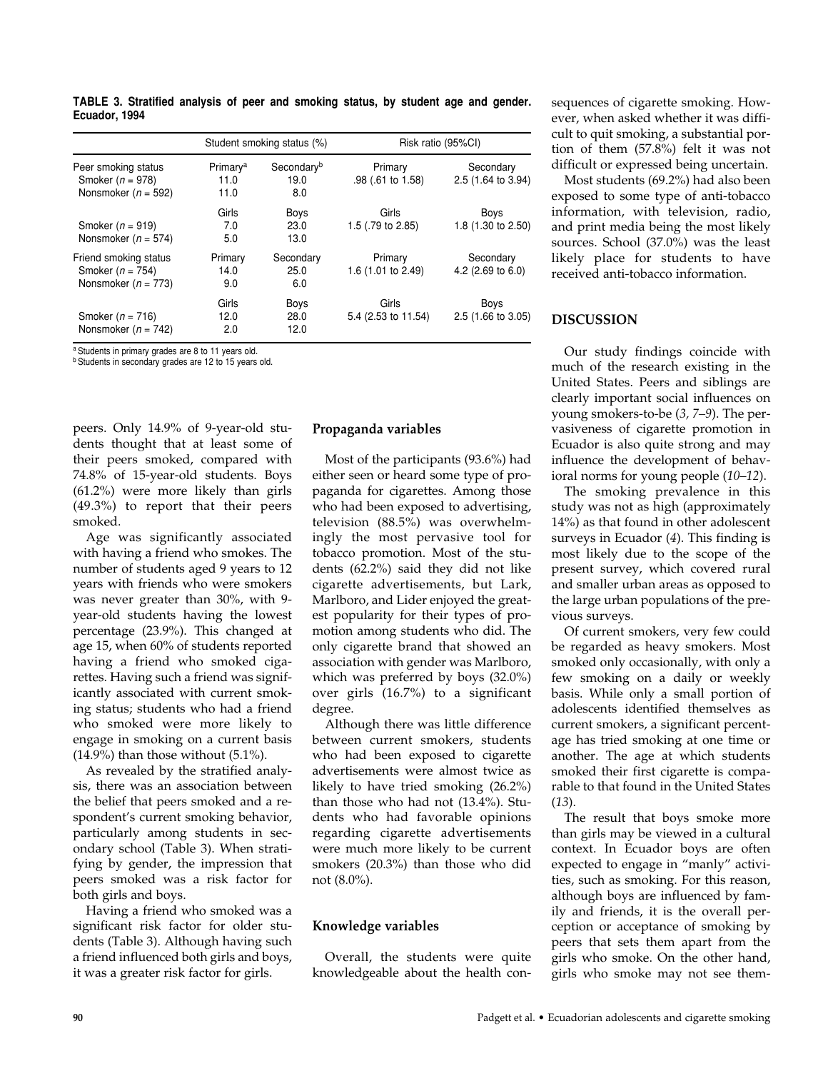|                                                                        | Student smoking status (%)           |                                       | Risk ratio (95%CI)            |                                           |  |
|------------------------------------------------------------------------|--------------------------------------|---------------------------------------|-------------------------------|-------------------------------------------|--|
| Peer smoking status<br>Smoker $(n = 978)$<br>Nonsmoker ( $n = 592$ )   | Primary <sup>a</sup><br>11.0<br>11.0 | Secondary <sup>b</sup><br>19.0<br>8.0 | Primary<br>.98 (.61 to 1.58)  | Secondary<br>2.5 (1.64 to 3.94)           |  |
| Smoker ( $n = 919$ )<br>Nonsmoker ( $n = 574$ )                        | Girls<br>7.0<br>5.0                  | <b>Boys</b><br>23.0<br>13.0           | Girls<br>1.5 (.79 to 2.85)    | Boys<br>1.8 (1.30 to 2.50)                |  |
| Friend smoking status<br>Smoker $(n = 754)$<br>Nonsmoker ( $n = 773$ ) | Primary<br>14.0<br>9.0               | Secondary<br>25.0<br>6.0              | Primary<br>1.6 (1.01 to 2.49) | Secondary<br>4.2 $(2.69 \text{ to } 6.0)$ |  |
| Smoker $(n = 716)$<br>Nonsmoker ( $n = 742$ )                          | Girls<br>12.0<br>2.0                 | Boys<br>28.0<br>12.0                  | Girls<br>5.4 (2.53 to 11.54)  | Boys<br>2.5 (1.66 to 3.05)                |  |

**TABLE 3. Stratified analysis of peer and smoking status, by student age and gender. Ecuador, 1994**

<sup>a</sup> Students in primary grades are 8 to 11 years old.

<sup>b</sup> Students in secondary grades are 12 to 15 years old.

peers. Only 14.9% of 9-year-old students thought that at least some of their peers smoked, compared with 74.8% of 15-year-old students. Boys (61.2%) were more likely than girls (49.3%) to report that their peers smoked.

Age was significantly associated with having a friend who smokes. The number of students aged 9 years to 12 years with friends who were smokers was never greater than 30%, with 9 year-old students having the lowest percentage (23.9%). This changed at age 15, when 60% of students reported having a friend who smoked cigarettes. Having such a friend was significantly associated with current smoking status; students who had a friend who smoked were more likely to engage in smoking on a current basis  $(14.9\%)$  than those without  $(5.1\%)$ .

As revealed by the stratified analysis, there was an association between the belief that peers smoked and a respondent's current smoking behavior, particularly among students in secondary school (Table 3). When stratifying by gender, the impression that peers smoked was a risk factor for both girls and boys.

Having a friend who smoked was a significant risk factor for older students (Table 3). Although having such a friend influenced both girls and boys, it was a greater risk factor for girls.

#### **Propaganda variables**

Most of the participants (93.6%) had either seen or heard some type of propaganda for cigarettes. Among those who had been exposed to advertising, television (88.5%) was overwhelmingly the most pervasive tool for tobacco promotion. Most of the students (62.2%) said they did not like cigarette advertisements, but Lark, Marlboro, and Lider enjoyed the greatest popularity for their types of promotion among students who did. The only cigarette brand that showed an association with gender was Marlboro, which was preferred by boys (32.0%) over girls (16.7%) to a significant degree.

Although there was little difference between current smokers, students who had been exposed to cigarette advertisements were almost twice as likely to have tried smoking (26.2%) than those who had not (13.4%). Students who had favorable opinions regarding cigarette advertisements were much more likely to be current smokers (20.3%) than those who did not (8.0%).

## **Knowledge variables**

Overall, the students were quite knowledgeable about the health consequences of cigarette smoking. However, when asked whether it was difficult to quit smoking, a substantial portion of them (57.8%) felt it was not difficult or expressed being uncertain.

Most students (69.2%) had also been exposed to some type of anti-tobacco information, with television, radio, and print media being the most likely sources. School (37.0%) was the least likely place for students to have received anti-tobacco information.

## **DISCUSSION**

Our study findings coincide with much of the research existing in the United States. Peers and siblings are clearly important social influences on young smokers-to-be (*3, 7–9*). The pervasiveness of cigarette promotion in Ecuador is also quite strong and may influence the development of behavioral norms for young people (*10–12*).

The smoking prevalence in this study was not as high (approximately 14%) as that found in other adolescent surveys in Ecuador (*4*). This finding is most likely due to the scope of the present survey, which covered rural and smaller urban areas as opposed to the large urban populations of the previous surveys.

Of current smokers, very few could be regarded as heavy smokers. Most smoked only occasionally, with only a few smoking on a daily or weekly basis. While only a small portion of adolescents identified themselves as current smokers, a significant percentage has tried smoking at one time or another. The age at which students smoked their first cigarette is comparable to that found in the United States (*13*).

The result that boys smoke more than girls may be viewed in a cultural context. In Ecuador boys are often expected to engage in "manly" activities, such as smoking. For this reason, although boys are influenced by family and friends, it is the overall perception or acceptance of smoking by peers that sets them apart from the girls who smoke. On the other hand, girls who smoke may not see them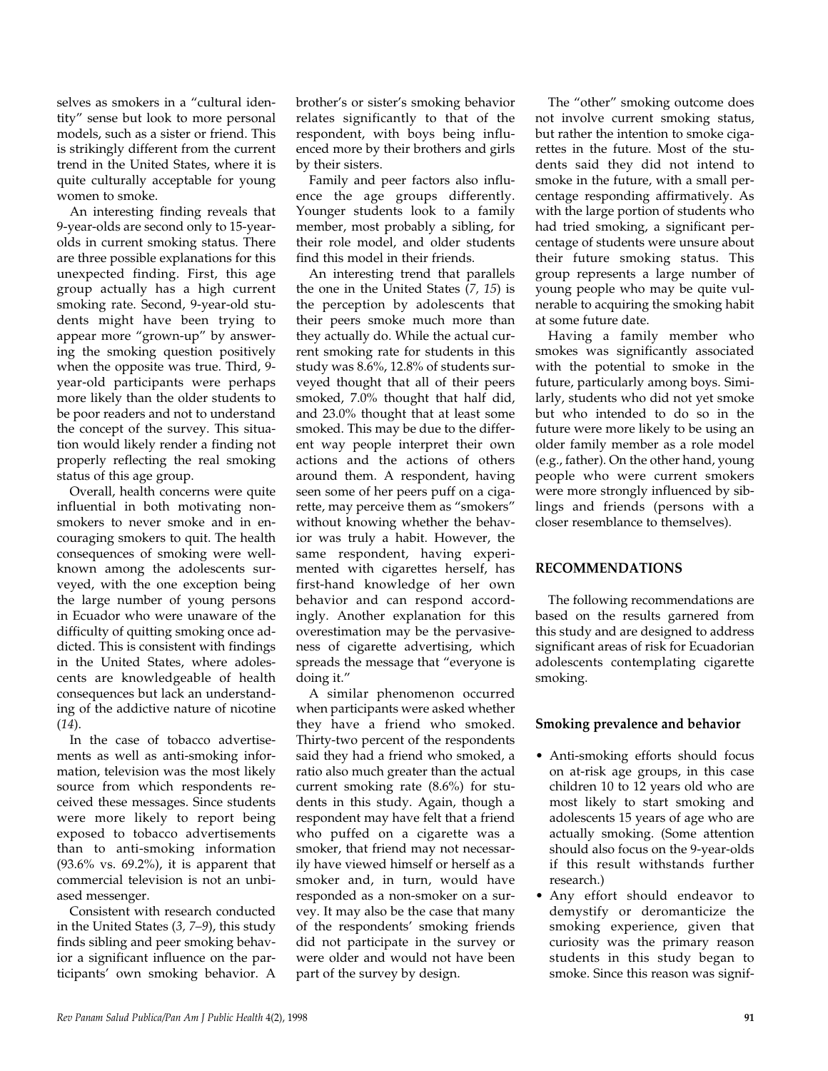selves as smokers in a "cultural identity" sense but look to more personal models, such as a sister or friend. This is strikingly different from the current trend in the United States, where it is quite culturally acceptable for young women to smoke.

An interesting finding reveals that 9-year-olds are second only to 15-yearolds in current smoking status. There are three possible explanations for this unexpected finding. First, this age group actually has a high current smoking rate. Second, 9-year-old students might have been trying to appear more "grown-up" by answering the smoking question positively when the opposite was true. Third, 9 year-old participants were perhaps more likely than the older students to be poor readers and not to understand the concept of the survey. This situation would likely render a finding not properly reflecting the real smoking status of this age group.

Overall, health concerns were quite influential in both motivating nonsmokers to never smoke and in encouraging smokers to quit. The health consequences of smoking were wellknown among the adolescents surveyed, with the one exception being the large number of young persons in Ecuador who were unaware of the difficulty of quitting smoking once addicted. This is consistent with findings in the United States, where adolescents are knowledgeable of health consequences but lack an understanding of the addictive nature of nicotine (*14*).

In the case of tobacco advertisements as well as anti-smoking information, television was the most likely source from which respondents received these messages. Since students were more likely to report being exposed to tobacco advertisements than to anti-smoking information (93.6% vs. 69.2%), it is apparent that commercial television is not an unbiased messenger.

Consistent with research conducted in the United States (*3, 7–9*), this study finds sibling and peer smoking behavior a significant influence on the participants' own smoking behavior. A

brother's or sister's smoking behavior relates significantly to that of the respondent, with boys being influenced more by their brothers and girls by their sisters.

Family and peer factors also influence the age groups differently. Younger students look to a family member, most probably a sibling, for their role model, and older students find this model in their friends.

An interesting trend that parallels the one in the United States (*7, 15*) is the perception by adolescents that their peers smoke much more than they actually do. While the actual current smoking rate for students in this study was 8.6%, 12.8% of students surveyed thought that all of their peers smoked, 7.0% thought that half did, and 23.0% thought that at least some smoked. This may be due to the different way people interpret their own actions and the actions of others around them. A respondent, having seen some of her peers puff on a cigarette, may perceive them as "smokers" without knowing whether the behavior was truly a habit. However, the same respondent, having experimented with cigarettes herself, has first-hand knowledge of her own behavior and can respond accordingly. Another explanation for this overestimation may be the pervasiveness of cigarette advertising, which spreads the message that "everyone is doing it."

A similar phenomenon occurred when participants were asked whether they have a friend who smoked. Thirty-two percent of the respondents said they had a friend who smoked, a ratio also much greater than the actual current smoking rate (8.6%) for students in this study. Again, though a respondent may have felt that a friend who puffed on a cigarette was a smoker, that friend may not necessarily have viewed himself or herself as a smoker and, in turn, would have responded as a non-smoker on a survey. It may also be the case that many of the respondents' smoking friends did not participate in the survey or were older and would not have been part of the survey by design.

The "other" smoking outcome does not involve current smoking status, but rather the intention to smoke cigarettes in the future. Most of the students said they did not intend to smoke in the future, with a small percentage responding affirmatively. As with the large portion of students who had tried smoking, a significant percentage of students were unsure about their future smoking status. This group represents a large number of young people who may be quite vulnerable to acquiring the smoking habit at some future date.

Having a family member who smokes was significantly associated with the potential to smoke in the future, particularly among boys. Similarly, students who did not yet smoke but who intended to do so in the future were more likely to be using an older family member as a role model (e.g., father). On the other hand, young people who were current smokers were more strongly influenced by siblings and friends (persons with a closer resemblance to themselves).

## **RECOMMENDATIONS**

The following recommendations are based on the results garnered from this study and are designed to address significant areas of risk for Ecuadorian adolescents contemplating cigarette smoking.

## **Smoking prevalence and behavior**

- Anti-smoking efforts should focus on at-risk age groups, in this case children 10 to 12 years old who are most likely to start smoking and adolescents 15 years of age who are actually smoking. (Some attention should also focus on the 9-year-olds if this result withstands further research.)
- Any effort should endeavor to demystify or deromanticize the smoking experience, given that curiosity was the primary reason students in this study began to smoke. Since this reason was signif-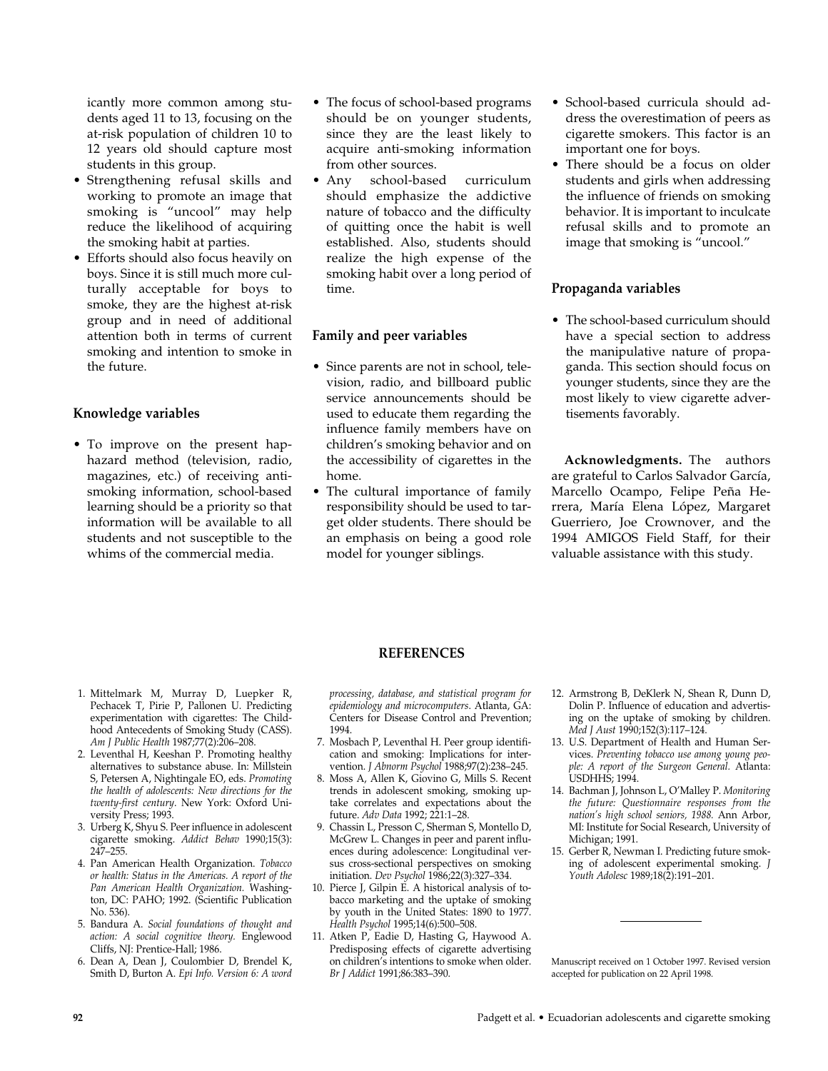icantly more common among students aged 11 to 13, focusing on the at-risk population of children 10 to 12 years old should capture most students in this group.

- Strengthening refusal skills and working to promote an image that smoking is "uncool" may help reduce the likelihood of acquiring the smoking habit at parties.
- Efforts should also focus heavily on boys. Since it is still much more culturally acceptable for boys to smoke, they are the highest at-risk group and in need of additional attention both in terms of current smoking and intention to smoke in the future.

#### **Knowledge variables**

• To improve on the present haphazard method (television, radio, magazines, etc.) of receiving antismoking information, school-based learning should be a priority so that information will be available to all students and not susceptible to the whims of the commercial media.

- The focus of school-based programs should be on younger students, since they are the least likely to acquire anti-smoking information from other sources.
- Any school-based curriculum should emphasize the addictive nature of tobacco and the difficulty of quitting once the habit is well established. Also, students should realize the high expense of the smoking habit over a long period of time.

#### **Family and peer variables**

- Since parents are not in school, television, radio, and billboard public service announcements should be used to educate them regarding the influence family members have on children's smoking behavior and on the accessibility of cigarettes in the home.
- The cultural importance of family responsibility should be used to target older students. There should be an emphasis on being a good role model for younger siblings.
- School-based curricula should address the overestimation of peers as cigarette smokers. This factor is an important one for boys.
- There should be a focus on older students and girls when addressing the influence of friends on smoking behavior. It is important to inculcate refusal skills and to promote an image that smoking is "uncool."

## **Propaganda variables**

• The school-based curriculum should have a special section to address the manipulative nature of propaganda. This section should focus on younger students, since they are the most likely to view cigarette advertisements favorably.

**Acknowledgments.** The authors are grateful to Carlos Salvador García, Marcello Ocampo, Felipe Peña Herrera, María Elena López, Margaret Guerriero, Joe Crownover, and the 1994 AMIGOS Field Staff, for their valuable assistance with this study.

#### **REFERENCES**

- 1. Mittelmark M, Murray D, Luepker R, Pechacek T, Pirie P, Pallonen U. Predicting experimentation with cigarettes: The Childhood Antecedents of Smoking Study (CASS). *Am J Public Health* 1987;77(2):206–208.
- 2. Leventhal H, Keeshan P. Promoting healthy alternatives to substance abuse. In: Millstein S, Petersen A, Nightingale EO, eds. *Promoting the health of adolescents: New directions for the twenty-first century*. New York: Oxford University Press; 1993.
- 3. Urberg K, Shyu S. Peer influence in adolescent cigarette smoking. *Addict Behav* 1990;15(3): 247–255.
- 4. Pan American Health Organization. *Tobacco or health: Status in the Americas. A report of the Pan American Health Organization.* Washington, DC: PAHO; 1992. (Scientific Publication No. 536).
- 5. Bandura A. *Social foundations of thought and action: A social cognitive theory.* Englewood Cliffs, NJ: Prentice-Hall; 1986.
- 6. Dean A, Dean J, Coulombier D, Brendel K, Smith D, Burton A. *Epi Info. Version 6: A word*

*processing, database, and statistical program for epidemiology and microcomputers*. Atlanta, GA: Centers for Disease Control and Prevention; 1994.

- 7. Mosbach P, Leventhal H. Peer group identification and smoking: Implications for intervention. *J Abnorm Psychol* 1988;97(2):238–245.
- 8. Moss A, Allen K, Giovino G, Mills S. Recent trends in adolescent smoking, smoking uptake correlates and expectations about the future. *Adv Data* 1992; 221:1–28.
- 9. Chassin L, Presson C, Sherman S, Montello D, McGrew L. Changes in peer and parent influences during adolescence: Longitudinal versus cross-sectional perspectives on smoking initiation. *Dev Psychol* 1986;22(3):327–334.
- 10. Pierce J, Gilpin E. A historical analysis of tobacco marketing and the uptake of smoking by youth in the United States: 1890 to 1977. *Health Psychol* 1995;14(6):500–508.
- 11. Atken P, Eadie D, Hasting G, Haywood A. Predisposing effects of cigarette advertising on children's intentions to smoke when older. *Br J Addict* 1991;86:383–390.
- 12. Armstrong B, DeKlerk N, Shean R, Dunn D, Dolin P. Influence of education and advertising on the uptake of smoking by children. *Med J Aust* 1990;152(3):117–124.
- 13. U.S. Department of Health and Human Services. *Preventing tobacco use among young people: A report of the Surgeon General.* Atlanta: USDHHS; 1994.
- 14. Bachman J, Johnson L, O'Malley P. *Monitoring the future: Questionnaire responses from the nation's high school seniors, 1988.* Ann Arbor, MI: Institute for Social Research, University of Michigan; 1991.
- 15. Gerber R, Newman I. Predicting future smoking of adolescent experimental smoking. *J Youth Adolesc* 1989;18(2):191–201.

Manuscript received on 1 October 1997. Revised version accepted for publication on 22 April 1998.